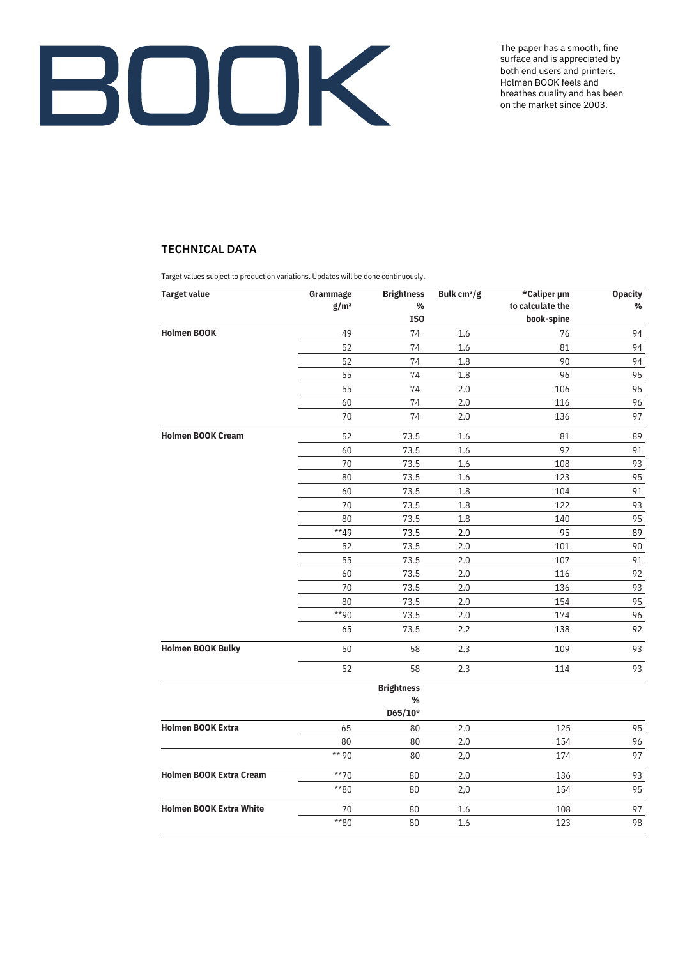

The paper has a smooth, fine surface and is appreciated by both end users and printers. Holmen BOOK feels and breathes quality and has been on the market since 2003.

## **TECHNICAL DATA**

Target values subject to production variations. Updates will be done continuously.

| <b>Target value</b>            | Grammage         | <b>Brightness</b> | Bulk cm <sup>3</sup> /g | *Caliper µm      | <b>Opacity</b> |
|--------------------------------|------------------|-------------------|-------------------------|------------------|----------------|
|                                | g/m <sup>2</sup> | %                 |                         | to calculate the | %              |
|                                |                  | ISO               |                         | book-spine       |                |
| <b>Holmen BOOK</b>             | 49               | 74                | 1.6                     | 76               | 94             |
|                                | 52               | 74                | 1.6                     | 81               | 94             |
|                                | 52               | 74                | 1.8                     | 90               | 94             |
|                                | 55               | 74                | 1.8                     | 96               | 95             |
|                                | 55               | 74                | 2.0                     | 106              | 95             |
|                                | 60               | 74                | 2.0                     | 116              | 96             |
|                                | 70               | 74                | 2.0                     | 136              | 97             |
| <b>Holmen BOOK Cream</b>       | 52               | 73.5              | 1.6                     | 81               | 89             |
|                                | 60               | 73.5              | 1.6                     | 92               | 91             |
|                                | 70               | 73.5              | 1.6                     | 108              | 93             |
|                                | 80               | 73.5              | 1.6                     | 123              | 95             |
|                                | 60               | 73.5              | 1.8                     | 104              | 91             |
|                                | 70               | 73.5              | 1.8                     | 122              | 93             |
|                                | 80               | 73.5              | 1.8                     | 140              | 95             |
|                                | $**49$           | 73.5              | 2.0                     | 95               | 89             |
|                                | 52               | 73.5              | 2.0                     | 101              | 90             |
|                                | 55               | 73.5              | 2.0                     | 107              | 91             |
|                                | 60               | 73.5              | 2.0                     | 116              | 92             |
|                                | 70               | 73.5              | 2.0                     | 136              | 93             |
|                                | 80               | 73.5              | 2.0                     | 154              | 95             |
|                                | $*$ 90           | 73.5              | 2.0                     | 174              | 96             |
|                                | 65               | 73.5              | 2.2                     | 138              | 92             |
| <b>Holmen BOOK Bulky</b>       | 50               | 58                | 2.3                     | 109              | 93             |
|                                | 52               | 58                | 2.3                     | 114              | 93             |
|                                |                  | <b>Brightness</b> |                         |                  |                |
|                                |                  | %                 |                         |                  |                |
|                                |                  | D65/10°           |                         |                  |                |
| <b>Holmen BOOK Extra</b>       | 65               | 80                | 2.0                     | 125              | 95             |
|                                | 80               | 80                | 2.0                     | 154              | 96             |
|                                | $**90$           | 80                | 2,0                     | 174              | 97             |
| <b>Holmen BOOK Extra Cream</b> | $*$ *70          | 80                | 2.0                     | 136              | 93             |
|                                | $*80$            | 80                | 2,0                     | 154              | 95             |
| <b>Holmen BOOK Extra White</b> | 70               | 80                | 1.6                     | 108              | 97             |
|                                | **80             | 80                | 1.6                     | 123              | 98             |